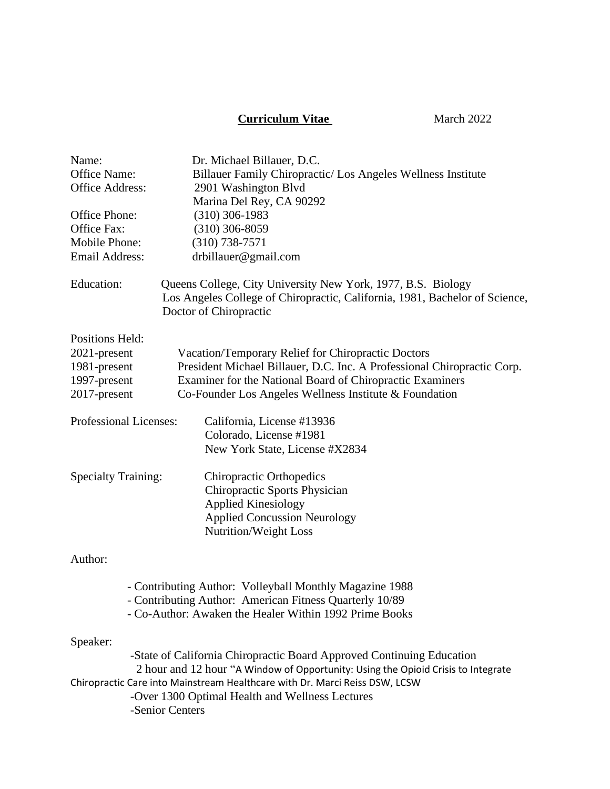## **Curriculum Vitae March 2022**

| Name:                                                                       | Dr. Michael Billauer, D.C.                                                                                                                                            |  |
|-----------------------------------------------------------------------------|-----------------------------------------------------------------------------------------------------------------------------------------------------------------------|--|
| Office Name:                                                                | Billauer Family Chiropractic/ Los Angeles Wellness Institute                                                                                                          |  |
| <b>Office Address:</b>                                                      | 2901 Washington Blvd                                                                                                                                                  |  |
|                                                                             | Marina Del Rey, CA 90292                                                                                                                                              |  |
| Office Phone:                                                               | $(310)$ 306-1983                                                                                                                                                      |  |
| Office Fax:                                                                 | $(310)$ 306-8059                                                                                                                                                      |  |
| Mobile Phone:                                                               | $(310)$ 738-7571                                                                                                                                                      |  |
| <b>Email Address:</b>                                                       | drbillauer@gmail.com                                                                                                                                                  |  |
| Education:                                                                  | Queens College, City University New York, 1977, B.S. Biology<br>Los Angeles College of Chiropractic, California, 1981, Bachelor of Science,<br>Doctor of Chiropractic |  |
| Positions Held:                                                             |                                                                                                                                                                       |  |
| 2021-present                                                                | Vacation/Temporary Relief for Chiropractic Doctors                                                                                                                    |  |
| 1981-present                                                                | President Michael Billauer, D.C. Inc. A Professional Chiropractic Corp.                                                                                               |  |
| 1997-present                                                                | Examiner for the National Board of Chiropractic Examiners                                                                                                             |  |
| 2017-present                                                                | Co-Founder Los Angeles Wellness Institute & Foundation                                                                                                                |  |
| Professional Licenses:                                                      | California, License #13936                                                                                                                                            |  |
|                                                                             | Colorado, License #1981                                                                                                                                               |  |
|                                                                             | New York State, License #X2834                                                                                                                                        |  |
| <b>Specialty Training:</b>                                                  | <b>Chiropractic Orthopedics</b>                                                                                                                                       |  |
|                                                                             | <b>Chiropractic Sports Physician</b>                                                                                                                                  |  |
|                                                                             | <b>Applied Kinesiology</b>                                                                                                                                            |  |
|                                                                             | <b>Applied Concussion Neurology</b>                                                                                                                                   |  |
|                                                                             | Nutrition/Weight Loss                                                                                                                                                 |  |
| Author:                                                                     |                                                                                                                                                                       |  |
|                                                                             | - Contributing Author: Volleyball Monthly Magazine 1988                                                                                                               |  |
|                                                                             | - Contributing Author: American Fitness Quarterly 10/89                                                                                                               |  |
|                                                                             | - Co-Author: Awaken the Healer Within 1992 Prime Books                                                                                                                |  |
| Speaker:                                                                    |                                                                                                                                                                       |  |
| -State of California Chiropractic Board Approved Continuing Education       |                                                                                                                                                                       |  |
|                                                                             | 2 hour and 12 hour "A Window of Opportunity: Using the Opioid Crisis to Integrate                                                                                     |  |
| Chiropractic Care into Mainstream Healthcare with Dr. Marci Reiss DSW, LCSW |                                                                                                                                                                       |  |
| -Over 1300 Optimal Health and Wellness Lectures                             |                                                                                                                                                                       |  |
|                                                                             | -Senior Centers                                                                                                                                                       |  |
|                                                                             |                                                                                                                                                                       |  |